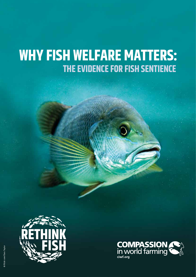# **WHY FISH WELFARE MATTERS: THE EVIDENCE FOR FISH SENTIENCE**



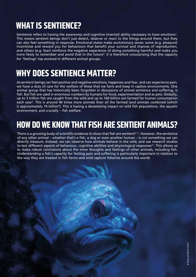### **WHAT IS SENTIENCE?**

Sentience refers to having the awareness and cognitive (mental) ability necessary to have emotions $^{\text{1}}$ . This means sentient beings don't just detect, observe or react to the things around them, but they can also feel something in response. Emotional states make evolutionary sense: some (e.g. pleasure) incentivise and reward you for behaviours that benefit your survival and chances of reproduction, and others (e.g. fear) reinforce the negative experience of doing something harmful and make you more likely to remember and avoid that in the future<sup>2</sup>. It is therefore unsurprising that the capacity for 'feelings' has evolved in different animal groups.

### **WHY DOES SENTIENCE MATTER?**

As sentient beings can feel positive and negative emotions, happiness and fear, and can experience pain, we have a duty of care for the welfare of those that we farm and keep in captive environments. One animal group that has historically been forgotten in discussions of animal sentience and suffering, is fish. But fish are used in enormous numbers by humans for food, experimentation and as pets. Globally, up to 3 trillion fish are caught from the wild and up to 160 billion are farmed for human consumption each year<sup>3</sup>. This is around 40 times more animals than all the farmed land animals combined (which is approximately 74 billion<sup>4</sup>). This is having a devastating impact on wild fish populations, the aquatic environment, and crucially – fish welfare.

### **HOW DO WE KNOW THAT FISH ARE SENTIENT ANIMALS?**

There is a growing body of scientific evidence to show that fish are sentient<sup>5-11</sup>. However, the sentience of any other animal – whether that's a fish, a dog or even another human – is not something we can directly measure. Instead, we can observe how animals behave in the wild, and use research studies to test different aspects of behaviour, cognitive abilities and physiological responses<sup>12</sup>. This allows us to make robust conclusions about the inner thoughts and feelings of other animals, including fish. Understanding a fish's capacity for feeling pain and suffering is particularly important in relation to the way they are treated in fish farms and wild capture fisheries around the world.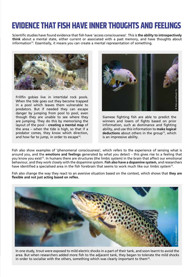### **EVIDENCE THAT FISH HAVE INNER THOUGHTS AND FEELINGS**

Scientific studies have found evidence that fish have 'access consciousness'. This is **the ability to introspectively think** about a mental state, either current or associated with a past memory, and have thoughts about  $information<sup>13</sup>$ . Essentially, it means you can create a mental representation of something.



Frillfin gobies live in intertidal rock pools. When the tide goes out they become trapped in a pool which leaves them vulnerable to predators. But if needed they can escape danger by jumping from pool to pool, even though they are unable to see where they are jumping. They do this by memorising the layout of the pool – **creating a mental map** of the area – when the tide is high, so that if a predator comes, they know which direction, and how far to jump, in order to escape $14$ .



Siamese fighting fish are able to predict the winners and losers of fights based on prior information, such as dominance and fighting ability, and use this information to **make logical**  deductions about others in the group<sup>15</sup>, which is an impressive ability.

Fish also show examples of 'phenomenal consciousness', which refers to the experience of sensing what is around you, and the **emotions and feelings** generated by what you detect – this gives rise to a feeling that you know you exist<sup>13</sup>. In humans there are structures (the limbic system) in the brain that affect our emotional behaviour, and they work closely with the dopamine system. **Fish also have a dopamine system**, and researchers have identified a specialised area in the fish forebrain that seems to work much like our limbic system<sup>13</sup>.

Fish also change the way they react to an aversive situation based on the context, which shows that **they are flexible and not just acting based on reflex.** 



In one study, trout were exposed to mild electric shocks in a part of their tank, and soon learnt to avoid the area. But when researchers added more fish to the adjacent tank, they began to tolerate the mild shocks in order to socialise with the others, something which was clearly important to them<sup>16</sup>.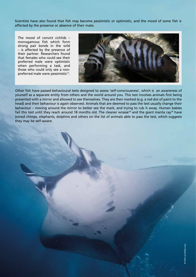Scientists have also found that fish may become pessimistic or optimistic, and the mood of some fish is affected by the presence or absence of their mate.

The mood of convict cichlids – monogamous fish which form strong pair bonds in the wild – is affected by the presence of their partner. Researchers found that females who could see their preferred male were optimistic when performing a task, and those who could only see a nonpreferred male were pessimistic<sup>17</sup>.



Other fish have passed behavioural tests designed to assess 'self-consciousness', which is an awareness of yourself as a separate entity from others and the world around you. This test involves animals first being presented with a mirror and allowed to see themselves. They are then marked (e.g. a red dot of paint to the head) and their behaviour is again observed. Animals that are deemed to pass the test usually change their behaviour – moving around the mirror to better see the mark, and trying to rub it away. Human babies fail this test until they reach around 18 months old. The cleaner wrasse<sup>18</sup> and the giant manta ray<sup>19</sup> have joined chimps, elephants, dolphins and others on the list of animals able to pass the test, which suggests they may be self-aware.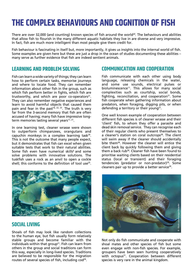# **THE COMPLEX BEHAVIOURS AND COGNITION OF FISH**

There are over 32,000 (and counting) known species of fish around the world<sup>20</sup>. The behaviours and abilities that allow fish to flourish in the many different aquatic habitats they live in are diverse and very impressive. In fact, fish are much more intelligent than most people give them credit for.

Fish behaviour is fascinating in itself but, more importantly, it gives us insights into the internal world of fish. Some examples are given here but these are just a drop in the ocean of studies documenting these abilities – many serve as further evidence that fish are indeed sentient animals.

#### **LEARNING AND PROBLEM SOLVING**

Fish can learn a wide variety of things; they can learn how to perform certain tasks, memorise journeys and where to locate food. They can remember information about other fish in the group, such as which fish perform better in fights, which fish are trustworthy, and which are poor co-operators $21$ . They can also remember negative experiences and learn to avoid harmful objects that caused them pain and fear in the past<sup>16, 22, 23</sup>. The truth is very far from the 3-second memory that fish are often accused of having; many fish have impressive longterm memories lasting several years<sup>11, 21</sup>.

In one learning test, cleaner wrasse were shown to outperform chimpanzees, orangutans and capuchin monkeys in a complex learning task $24$ . This is not the outcome that many people expect, but it demonstrates that fish can excel when given suitable tests that work to their natural abilities. Some fish even have numerical skills<sup>6</sup> and some solve problems with innovative solutions. The tuskfish uses a rock as an anvil to open a cockle shell; this conforms to the definition of tool use<sup>25</sup>.



#### **SOCIAL LIVING**

Shoals of fish may look like random collections to the human eye, but fish usually form relatively stable groups and become familiar with the individuals within that group<sup>21</sup>. Fish can learn from others in the group and social traditions can form this way, especially in long-lived species. Traditions are believed to be responsible for the migration routes of several species of fish, including cod<sup>26</sup>.

#### **COMMUNICATION AND COOPERATION**

Fish communicate with each other using body language, releasing chemicals in the water, and some use sounds, electrical pulses or bioluminescence<sup>11</sup>. This allows for many social complexities such as courtship, social bonds, fighting, reconciliation, and cooperation $21$ . Some fish cooperate when gathering information about predators, when foraging, digging pits, or when defending a territory or their young<sup>27</sup>.

One well known example of cooperation between different fish species is of cleaner wrasse and their 'client' fish, to whom they offer a parasite and dead skin removal service. They can recognise each of their regular clients who present themselves to a cleaner's station on coral outcrops<sup>28</sup>. The client will swim away if the cleaner should accidentally bite them<sup>28</sup>. However the cleaner will entice the client back by quickly following them and giving them a back rub<sup>28</sup>. Cleaner fish have been found to prioritise waiting clients based on their residential status (local or transient) and their foraging tendencies (predator or non-predator)<sup>29</sup>. Some cleaners pair up to provide a better service<sup>30</sup>.



Not only do fish communicate and cooperate with shoal mates and other species of fish but some even engage with non-fish species. For example, groupers have been seen hunting cooperatively with octopus<sup>31</sup>. Cooperation between different species is very rare in the animal kingdom.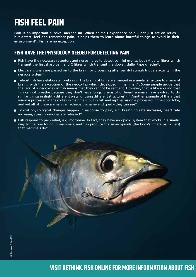## **FISH FEEL PAIN**

**Pain is an important survival mechanism. When animals experience pain – not just act on reflex – but detect, feel and remember pain, it helps them to learn about harmful things to avoid in their environment32. Fish are no exception.** 

#### **FISH HAVE THE PHYSIOLOGY NEEDED FOR DETECTING PAIN**

- Fish have the necessary receptors and nerve fibres to detect painful events; both A-delta fibres which transmit the first sharp pain and C fibres which transmit the slower, duller type of ache<sup>33</sup>.
- Electrical signals are passed on to the brain for processing after painful stimuli triggers activity in the nervous system<sup>13</sup>.
- **T** Teleost fish have elaborate forebrains. The brains of fish are arranged in a similar structure to mammal brains, with the exception of the neocortex which developed in mammals<sup>20</sup>. Some people argue that the lack of a neocortex in fish means that they cannot be sentient. However, that is like arguing that fish cannot breathe because they don't have lungs. Brains of different animals have evolved to do similar things in slightly different ways, or using different structures<sup>32, 13</sup>. Another example of this is that vision is processed in the cortex in mammals, but in fish and reptiles vision is processed in the optic lobe, and yet all of these animals can achieve the same end goal – they can see $34$ .
- Typical physiological changes happen in response to pain, e.g. breathing rate increases, heart rate increases, stress hormones are released<sup>13</sup>.
- Fish respond to pain relief, e.g. morphine. In fact, they have an opioid system that works in a similar way to the one found in mammals, and fish produce the same opioids (the body's innate painkillers) that mammals  $do^{35}$ .

**VISIT RETHINK.FISH ONLINE FOR MORE INFORMATION ABOUT FISH**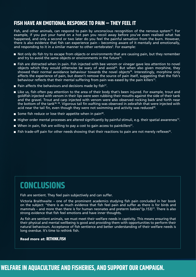### **FISH HAVE AN EMOTIONAL RESPONSE TO PAIN – THEY FEEL IT**

Fish, and other animals, can respond to pain by unconscious recognition of the nervous system<sup>13</sup>. For example, if you put your hand on a hot pan you recoil away before you've even realised what has happened, and only a second or two later do you feel the painful sensation from the burn. However, there is also evidence that fish can experience pain – becoming aware of it mentally and emotionally, and responding to it in a similar manner to other vertebrates<sup>5</sup>. For example:

- Not only do fish try to escape from objects or environments that are causing pain, but they remember and try to avoid the same objects or environments in the future<sup>16</sup>.
- Fish are distracted when in pain. Fish injected with bee venom or vinegar gave less attention to novel objects which they would otherwise be wary of and avoid<sup>36</sup>. But when also given morphine, they showed their normal avoidance behaviour towards the novel objects<sup>36</sup>. Interestingly, morphine only affects the experience of pain, but doesn't remove the source of pain itself, suggesting that the fish's behaviour reflects that their mental suffering from pain was eased by the pain killers<sup>13</sup>.
- **Pain affects the behaviours and decisions made by fish**<sup>37</sup>.
- Like us, fish often pay attention to the area of their body that's been injured. For example, trout and goldfish injected with venom in their lips were seen rubbing their mouths against the side of their tank and the gravel. Trout and carp injected with venom were also observed rocking back and forth near the bottom of the tank36, 38. Vigorous tail fin wafting was observed in zebrafish that were injected with acid near the tail fin, even though they were not swimming and activity was reduced<sup>39</sup>.
- Some fish reduce or lose their appetite when in pain<sup>40</sup>.
- Higher order mental processes are altered significantly by painful stimuli, e.g. their spatial awareness<sup>13</sup>.
- When in pain, fish are willing to pay a cost to gain access to painkillers<sup>41</sup>.
- **Fish trade-off pain for other needs showing that their reactions to pain are not merely reflexes**<sup>42</sup>.

### **CONCLUSIONS**

Fish are sentient. They feel pain subjectively and can suffer.

Victoria Braithwaite – one of the prominent academics studying fish pain concluded in her book on the subject: "there is as much evidence that fish feel pain and suffer as there is for birds and mammals – and more than there is for human neonates and preterm babies" (p.153)<sup>13</sup>. There is also strong evidence that fish feel emotions and have inner thoughts.

As fish are sentient animals, we must meet their welfare needs in captivity. This means ensuring that their physical and mental wellbeing is good and providing them with opportunities to perform their natural behaviours. Acceptance of fish sentience and better understanding of their welfare needs is long overdue. It's time to rethink fish.

#### Read more at: **RETHINK.FISH**